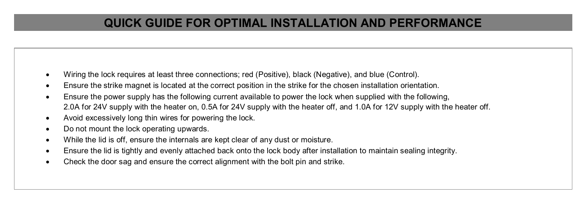## **QUICK GUIDE FOR OPTIMAL INSTALLATION AND PERFORMANCE**

- Wiring the lock requires at least three connections; red (Positive), black (Negative), and blue (Control).
- Ensure the strike magnet is located at the correct position in the strike for the chosen installation orientation.
- Ensure the power supply has the following current available to power the lock when supplied with the following, 2.0A for 24V supply with the heater on, 0.5A for 24V supply with the heater off, and 1.0A for 12V supply with the heater off.
- Avoid excessively long thin wires for powering the lock.
- Do not mount the lock operating upwards.
- While the lid is off, ensure the internals are kept clear of any dust or moisture.
- Ensure the lid is tightly and evenly attached back onto the lock body after installation to maintain sealing integrity.
- Check the door sag and ensure the correct alignment with the bolt pin and strike.